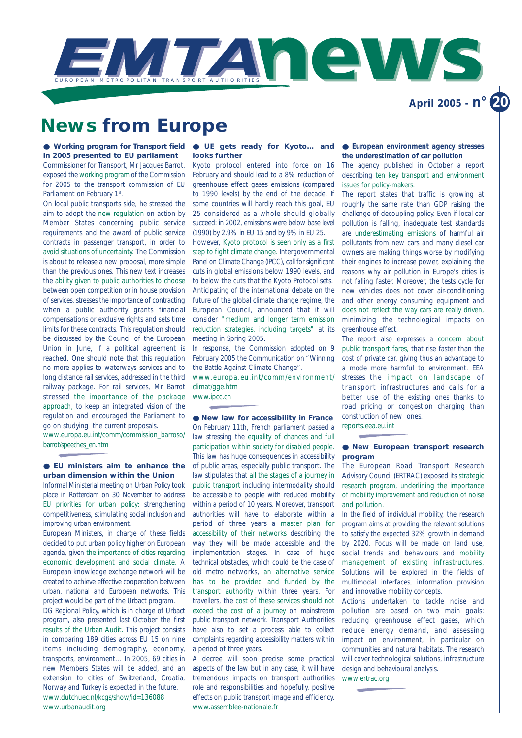

### **News from Europe**

● Working program for Transport field ● UE gets ready for Kyoto... and **in 2005 presented to EU parliament**

Commissioner for Transport, Mr Jacques Barrot, exposed the working program of the Commission for 2005 to the transport commission of EU Parliament on February 1st.

On local public transports side, he stressed the aim to adopt the new regulation on action by Member States concerning public service requirements and the award of public service contracts in passenger transport, in order to avoid situations of uncertainty. The Commission is about to release a new proposal, more simple than the previous ones. This new text increases the ability given to public authorities to choose between open competition or in house provision of services, stresses the importance of contracting when a public authority grants financial compensations or exclusive rights and sets time limits for these contracts. This regulation should be discussed by the Council of the European Union in June, if a political agreement is reached. One should note that this regulation no more applies to waterways services and to long distance rail services, addressed in the third railway package. For rail services, Mr Barrot stressed the importance of the package approach, to keep an integrated vision of the regulation and encouraged the Parliament to go on studying the current proposals.

www.europa.eu.int/comm/commission\_barroso/ barrot/speeches\_en.htm

### ● **EU ministers aim to enhance the urban dimension within the Union**  Informal Ministerial meeting on Urban Policy took

place in Rotterdam on 30 November to address EU priorities for urban policy: strengthening competitiveness, stimulating social inclusion and improving urban environment.

European Ministers, in charge of these fields decided to put urban policy higher on European agenda, given the importance of cities regarding economic development and social climate. A European knowledge exchange network will be created to achieve effective cooperation between urban, national and European networks. This project would be part of the Urbact program.

DG Regional Policy, which is in charge of Urbact program, also presented last October the first results of the Urban Audit. This project consists in comparing 189 cities across EU 15 on nine items including demography, economy, transports, environment… In 2005, 69 cities in new Members States will be added, and an extension to cities of Switzerland, Croatia, Norway and Turkey is expected in the future. www.dutchuec.nl/kcgs/show/id=136088 www.urbanaudit.org

### **looks further**

Kyoto protocol entered into force on 16 February and should lead to a 8% reduction of greenhouse effect gases emissions (compared to 1990 levels) by the end of the decade. If some countries will hardly reach this goal, EU 25 considered as a whole should globally succeed: in 2002, emissions were below base level (1990) by 2.9% in EU 15 and by 9% in EU 25.

However, Kyoto protocol is seen only as a first step to fight climate change. Intergovernmental Panel on Climate Change (IPCC), call for significant cuts in global emissions below 1990 levels, and to below the cuts that the Kyoto Protocol sets. Anticipating of the international debate on the future of the global climate change regime, the European Council, announced that it will consider "medium and longer term emission reduction strategies, including targets" at its meeting in Spring 2005.

In response, the Commission adopted on 9 February 2005 the Communication on "Winning the Battle Against Climate Change".

www.europa.eu.int/comm/environment/ climat/gge.htm www.ipcc.ch

● **New law for accessibility in France** 

On February 11th, French parliament passed a law stressing the equality of chances and full participation within society for disabled people. This law has huge consequences in accessibility of public areas, especially public transport. The law stipulates that all the stages of a journey in public transport including intermodality should be accessible to people with reduced mobility within a period of 10 years. Moreover, transport authorities will have to elaborate within a period of three years a master plan for accessibility of their networks describing the way they will be made accessible and the implementation stages. In case of huge technical obstacles, which could be the case of old metro networks, an alternative service has to be provided and funded by the transport authority within three years. For travellers, the cost of these services should not exceed the cost of a journey on mainstream public transport network. Transport Authorities have also to set a process able to collect complaints regarding accessibility matters within a period of three years.

A decree will soon precise some practical aspects of the law but in any case, it will have tremendous impacts on transport authorities role and responsibilities and hopefully, positive effects on public transport image and efficiency. www.assemblee-nationale.fr

#### ● **European environment agency stresses the underestimation of car pollution**

The agency published in October a report describing ten key transport and environment issues for policy-makers.

The report states that traffic is growing at roughly the same rate than GDP raising the challenge of decoupling policy. Even if local car pollution is falling, inadequate test standards are underestimating emissions of harmful air pollutants from new cars and many diesel car owners are making things worse by modifying their engines to increase power, explaining the reasons why air pollution in Europe's cities is not falling faster. Moreover, the tests cycle for new vehicles does not cover air-conditioning and other energy consuming equipment and does not reflect the way cars are really driven, minimizing the technological impacts on greenhouse effect.

The report also expresses a concern about public transport fares, that rise faster than the cost of private car, giving thus an advantage to a mode more harmful to environment. EEA stresses the impact on landscape of transport infrastructures and calls for a better use of the existing ones thanks to road pricing or congestion charging than construction of new ones. reports.eea.eu.int

### ● **New European transport research program**

The European Road Transport Research Advisory Council (ERTRAC) exposed its strategic research program, underlining the importance of mobility improvement and reduction of noise and pollution.

In the field of individual mobility, the research program aims at providing the relevant solutions to satisfy the expected 32% growth in demand by 2020. Focus will be made on land use, social trends and behaviours and mobility management of existing infrastructures. Solutions will be explored in the fields of multimodal interfaces, information provision and innovative mobility concepts.

Actions undertaken to tackle noise and pollution are based on two main goals: reducing greenhouse effect gases, which reduce energy demand, and assessing impact on environment, in particular on communities and natural habitats. The research will cover technological solutions, infrastructure design and behavioural analysis.

www.ertrac.org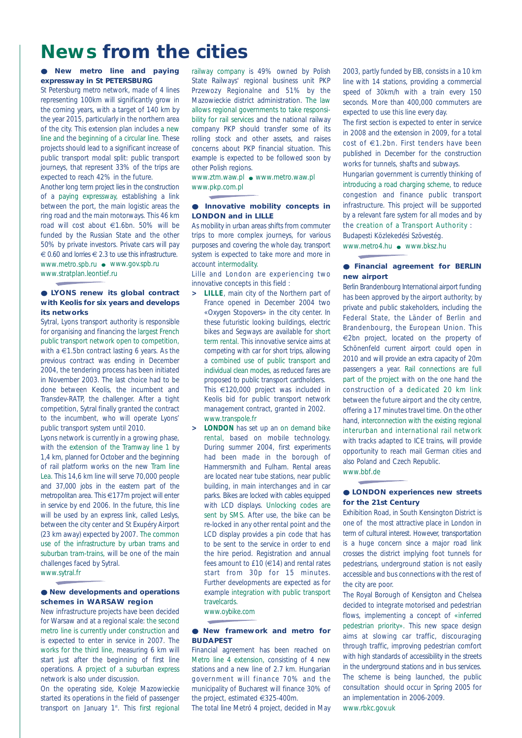# **News from the cities**

### ● **New metro line and paying expressway in St PETERSBURG**

St Petersburg metro network, made of 4 lines representing 100km will significantly grow in the coming years, with a target of 140 km by the year 2015, particularly in the northern area of the city. This extension plan includes a new line and the beginning of a circular line. These projects should lead to a significant increase of public transport modal split: public transport journeys, that represent 33% of the trips are expected to reach 42% in the future.

Another long term project lies in the construction of a paying expressway, establishing a link between the port, the main logistic areas the ring road and the main motorways. This 46 km road will cost about €1.6bn. 50% will be funded by the Russian State and the other 50% by private investors. Private cars will pay € 0.60 and lorries  $∈$  2.3 to use this infrastructure. www.metro.spb.ru ● www.gov.spb.ru www.stratplan.leontief.ru

● **LYONS renew its global contract with Keolis for six years and develops its networks** 

Sytral, Lyons transport authority is responsible for organising and financing the largest French public transport network open to competition, with a  $\epsilon$ 1.5bn contract lasting 6 years. As the previous contract was ending in December 2004, the tendering process has been initiated in November 2003. The last choice had to be done between Keolis, the incumbent and Transdev-RATP, the challenger. After a tight competition, Sytral finally granted the contract to the incumbent, who will operate Lyons' public transport system until 2010.

Lyons network is currently in a growing phase, with the extension of the Tramway line 1 by 1,4 km, planned for October and the beginning of rail platform works on the new Tram line Lea. This 14,6 km line will serve 70,000 people and 37,000 jobs in the eastern part of the metropolitan area. This €177m project will enter in service by end 2006. In the future, this line will be used by an express link, called Leslys, between the city center and St Exupéry Airport (23 km away) expected by 2007. The common use of the infrastructure by urban trams and suburban tram-trains, will be one of the main challenges faced by Sytral.

www.sytral.fr

### ● **New developments and operations schemes in WARSAW region**

New infrastructure projects have been decided for Warsaw and at a regional scale: the second metro line is currently under construction and is expected to enter in service in 2007. The works for the third line, measuring 6 km will start just after the beginning of first line operations. A project of a suburban express network is also under discussion.

On the operating side, Koleje Mazowieckie started its operations in the field of passenger transport on January 1<sup>st</sup>. This first regional

railway company is 49% owned by Polish State Railways' regional business unit PKP Przewozy Regionalne and 51% by the Mazowieckie district administration. The law allows regional governments to take responsibility for rail services and the national railway company PKP should transfer some of its rolling stock and other assets, and raises concerns about PKP financial situation. This example is expected to be followed soon by other Polish regions.

www.ztm.waw.pl • www.metro.waw.pl www.pkp.com.pl

### ● **Innovative mobility concepts in LONDON and in LILLE**

As mobility in urban areas shifts from commuter trips to more complex journeys, for various purposes and covering the whole day, transport system is expected to take more and more in account intermodality.

Lille and London are experiencing two innovative concepts in this field :

- **> LILLE**, main city of the Northern part of France opened in December 2004 two «Oxygen Stopovers» in the city center. In these futuristic looking buildings, electric bikes and Segways are available for short term rental. This innovative service aims at competing with car for short trips, allowing a combined use of public transport and individual clean modes, as reduced fares are proposed to public transport cardholders. This €120,000 project was included in Keolis bid for public transport network management contract, granted in 2002. www.transpole.fr
- **> LONDON** has set up an on demand bike rental, based on mobile technology. During summer 2004, first experiments had been made in the borough of Hammersmith and Fulham. Rental areas are located near tube stations, near public building, in main interchanges and in car parks. Bikes are locked with cables equipped with LCD displays. Unlocking codes are sent by SMS. After use, the bike can be re-locked in any other rental point and the LCD display provides a pin code that has to be sent to the service in order to end the hire period. Registration and annual fees amount to £10 (€14) and rental rates start from 30p for 15 minutes. Further developments are expected as for example integration with public transport travelcards.

www.oybike.com

#### ● **New framework and metro for BUDAPEST**

Financial agreement has been reached on Metro line 4 extension, consisting of 4 new stations and a new line of 2.7 km. Hungarian government will finance 70% and the municipality of Bucharest will finance 30% of the project, estimated €325-400m.

The total line Metró 4 project, decided in May

2003, partly funded by EIB, consists in a 10 km line with 14 stations, providing a commercial speed of 30km/h with a train every 150 seconds. More than 400,000 commuters are expected to use this line every day.

The first section is expected to enter in service in 2008 and the extension in 2009, for a total cost of €1.2bn. First tenders have been published in December for the construction works for tunnels, shafts and subways.

Hungarian government is currently thinking of introducing a road charging scheme, to reduce congestion and finance public transport infrastructure. This project will be supported by a relevant fare system for all modes and by the creation of a Transport Authority : Budapesti Közlekedési Szövestég.

www.metro4.hu ● www.bksz.hu

### ● **Financial agreement for BERLIN new airport**

Berlin Brandenbourg International airport funding has been approved by the airport authority; by private and public stakeholders, including the Federal State, the Länder of Berlin and Brandenbourg, the European Union. This €2bn project, located on the property of Schönenfeld current airport could open in 2010 and will provide an extra capacity of 20m passengers a year. Rail connections are full part of the project with on the one hand the construction of a dedicated 20 km link between the future airport and the city centre, offering a 17 minutes travel time. On the other hand, interconnection with the existing regional interurban and international rail network with tracks adapted to ICE trains, will provide opportunity to reach mail German cities and also Poland and Czech Republic. www.bbf.de

### ● **LONDON experiences new streets for the 21st Century**

Exhibition Road, in South Kensington District is one of the most attractive place in London in term of cultural interest. However, transportation is a huge concern since a major road link crosses the district implying foot tunnels for pedestrians, underground station is not easily accessible and bus connections with the rest of the city are poor.

The Royal Borough of Kensigton and Chelsea decided to integrate motorised and pedestrian flows, implementing a concept of «inferred pedestrian priority». This new space design aims at slowing car traffic, discouraging through traffic, improving pedestrian comfort with high standards of accessibility in the streets in the underground stations and in bus services. The scheme is being launched, the public consultation should occur in Spring 2005 for an implementation in 2006-2009. www.rbkc.gov.uk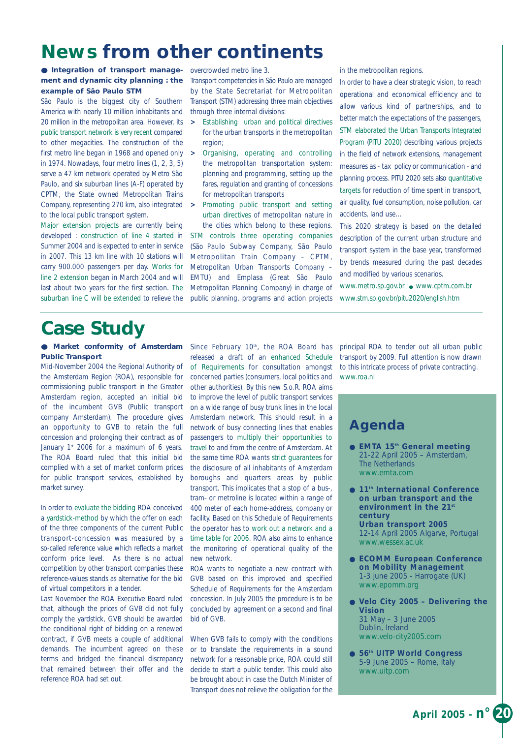### **News from other continents**

### ● **Integration of transport management and dynamic city planning : the example of São Paulo STM**

São Paulo is the biggest city of Southern America with nearly 10 million inhabitants and 20 million in the metropolitan area. However, its public transport network is very recent compared to other megacities. The construction of the first metro line began in 1968 and opened only in 1974. Nowadays, four metro lines (1, 2, 3, 5) serve a 47 km network operated by Metro São Paulo, and six suburban lines (A-F) operated by CPTM, the State owned Metropolitan Trains Company, representing 270 km, also integrated to the local public transport system.

Major extension projects are currently being developed : construction of line 4 started in Summer 2004 and is expected to enter in service in 2007. This 13 km line with 10 stations will carry 900.000 passengers per day. Works for line 2 extension began in March 2004 and will last about two years for the first section. The suburban line C will be extended to relieve the

overcrowded metro line 3.

Transport competencies in São Paulo are managed by the State Secretariat for Metropolitan Transport (STM) addressing three main objectives through three internal divisions:

- **>** Establishing urban and political directives for the urban transports in the metropolitan region;
- **>** Organising, operating and controlling the metropolitan transportation system: planning and programming, setting up the fares, regulation and granting of concessions for metropolitan transports
- **>** Promoting public transport and setting urban directives of metropolitan nature in the cities which belong to these regions.

STM controls three operating companies (São Paulo Subway Company, São Paulo Metropolitan Train Company – CPTM, Metropolitan Urban Transports Company – EMTU) and Emplasa (Great São Paulo Metropolitan Planning Company) in charge of public planning, programs and action projects

in the metropolitan regions.

In order to have a clear strategic vision, to reach operational and economical efficiency and to allow various kind of partnerships, and to better match the expectations of the passengers, STM elaborated the Urban Transports Integrated Program (PITU 2020) describing various projects in the field of network extensions, management measures as - tax policy or communication - and planning process. PITU 2020 sets also quantitative targets for reduction of time spent in transport, air quality, fuel consumption, noise pollution, car accidents, land use…

This 2020 strategy is based on the detailed description of the current urban structure and transport system in the base year, transformed by trends measured during the past decades and modified by various scenarios.

www.metro.sp.gov.br ● www.cptm.com.br www.stm.sp.gov.br/pitu2020/english.htm

### **Case Study**

### ● **Market conformity of Amsterdam Public Transport**

Mid-November 2004 the Regional Authority of the Amsterdam Region (ROA), responsible for commissioning public transport in the Greater Amsterdam region, accepted an initial bid of the incumbent GVB (Public transport company Amsterdam). The procedure gives an opportunity to GVB to retain the full concession and prolonging their contract as of January  $1<sup>st</sup>$  2006 for a maximum of 6 years. The ROA Board ruled that this initial bid complied with a set of market conform prices for public transport services, established by market survey.

In order to evaluate the bidding ROA conceived a yardstick-method by which the offer on each of the three components of the current Public transport-concession was measured by a so-called reference value which reflects a market conform price level. As there is no actual competition by other transport companies these reference-values stands as alternative for the bid of virtual competitors in a tender.

Last November the ROA Executive Board ruled that, although the prices of GVB did not fully comply the yardstick, GVB should be awarded the conditional right of bidding on a renewed contract, if GVB meets a couple of additional demands. The incumbent agreed on these terms and bridged the financial discrepancy that remained between their offer and the reference ROA had set out.

Since February 10<sup>th</sup>, the ROA Board has released a draft of an enhanced Schedule of Requirements for consultation amongst concerned parties (consumers, local politics and other authorities). By this new S.o.R. ROA aims to improve the level of public transport services on a wide range of busy trunk lines in the local Amsterdam network. This should result in a network of busy connecting lines that enables passengers to multiply their opportunities to travel to and from the centre of Amsterdam. At the same time ROA wants strict guarantees for the disclosure of all inhabitants of Amsterdam boroughs and quarters areas by public transport. This implicates that a stop of a bus-, tram- or metroline is located within a range of 400 meter of each home-address, company or facility. Based on this Schedule of Requirements the operator has to work out a network and a time table for 2006. ROA also aims to enhance the monitoring of operational quality of the new network.

ROA wants to negotiate a new contract with GVB based on this improved and specified Schedule of Requirements for the Amsterdam concession. In July 2005 the procedure is to be concluded by agreement on a second and final bid of GVB.

When GVB fails to comply with the conditions or to translate the requirements in a sound network for a reasonable price, ROA could still decide to start a public tender. This could also be brought about in case the Dutch Minister of Transport does not relieve the obligation for the

principal ROA to tender out all urban public transport by 2009. Full attention is now drawn to this intricate process of private contracting. www.roa.nl

### **Agenda**

- **EMTA 15th General meeting** 21-22 April 2005 – Amsterdam, The Netherlands www.emta.com
- **11th International Conference on urban transport and the environment in the 21st century Urban transport 2005** 12-14 April 2005 Algarve, Portugal www.wessex.ac.uk
- **ECOMM European Conference on Mobility Management**  1-3 june 2005 - Harrogate (UK) www.epomm.org
- **Velo City 2005 Delivering the Vision** 31 May – 3 June 2005 Dublin, Ireland www.velo-city2005.com
- **56th UITP World Congress** 5-9 June 2005 – Rome, Italy www.uitp.com